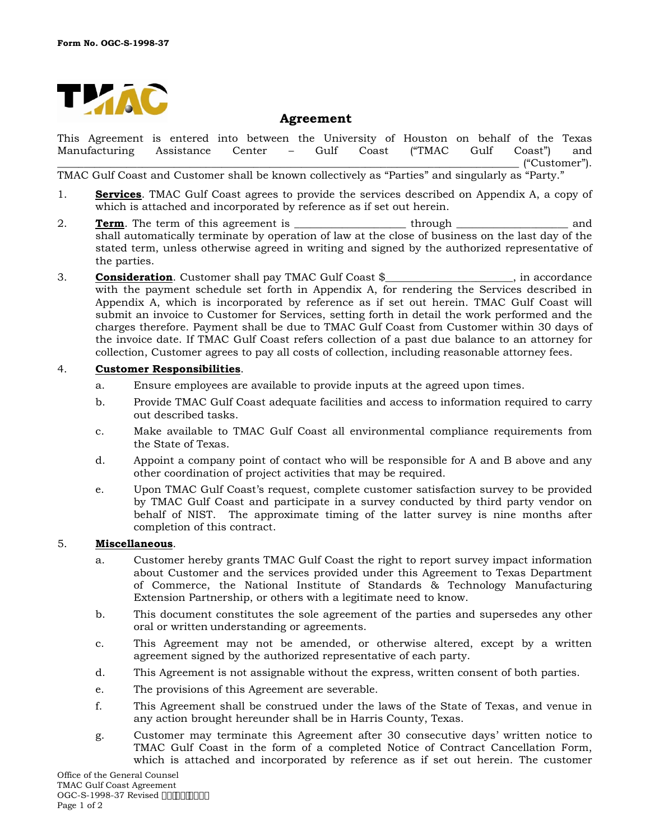

# **Agreement**

This Agreement is entered into between the University of Houston on behalf of the Texas<br>Manufacturing Assistance Center – Gulf Coast ("TMAC Gulf Coast") and Manufacturing Assistance Center – Gulf Coast ("TMAC Gulf Coast") and \_\_\_\_\_\_\_\_\_\_\_\_\_\_\_\_\_\_\_\_\_\_\_\_\_\_\_\_\_\_\_\_\_\_\_\_\_\_\_\_\_\_\_\_\_\_\_\_\_\_\_\_\_\_\_\_\_\_\_\_\_\_\_\_\_\_\_\_\_\_\_\_\_\_\_\_\_\_\_\_\_\_\_\_\_\_\_ ("Customer").

TMAC Gulf Coast and Customer shall be known collectively as "Parties" and singularly as "Party."

- 1. **Services**. TMAC Gulf Coast agrees to provide the services described on Appendix A, a copy of which is attached and incorporated by reference as if set out herein.
- 2. **Term**. The term of this agreement is through through through and shall automatically terminate by operation of law at the close of business on the last day of the stated term, unless otherwise agreed in writing and signed by the authorized representative of the parties.
- 3. **Consideration**. Customer shall pay TMAC Gulf Coast \$\_\_\_\_\_\_\_\_\_\_\_\_\_\_\_\_\_\_, in accordance with the payment schedule set forth in Appendix A, for rendering the Services described in Appendix A, which is incorporated by reference as if set out herein. TMAC Gulf Coast will submit an invoice to Customer for Services, setting forth in detail the work performed and the charges therefore. Payment shall be due to TMAC Gulf Coast from Customer within 30 days of the invoice date. If TMAC Gulf Coast refers collection of a past due balance to an attorney for collection, Customer agrees to pay all costs of collection, including reasonable attorney fees.

## 4. **Customer Responsibilities**.

- a. Ensure employees are available to provide inputs at the agreed upon times.
- b. Provide TMAC Gulf Coast adequate facilities and access to information required to carry out described tasks.
- c. Make available to TMAC Gulf Coast all environmental compliance requirements from the State of Texas.
- d. Appoint a company point of contact who will be responsible for A and B above and any other coordination of project activities that may be required.
- e. Upon TMAC Gulf Coast's request, complete customer satisfaction survey to be provided by TMAC Gulf Coast and participate in a survey conducted by third party vendor on behalf of NIST. The approximate timing of the latter survey is nine months after completion of this contract.

## 5. **Miscellaneous**.

- a. Customer hereby grants TMAC Gulf Coast the right to report survey impact information about Customer and the services provided under this Agreement to Texas Department of Commerce, the National Institute of Standards & Technology Manufacturing Extension Partnership, or others with a legitimate need to know.
- b. This document constitutes the sole agreement of the parties and supersedes any other oral or written understanding or agreements.
- c. This Agreement may not be amended, or otherwise altered, except by a written agreement signed by the authorized representative of each party.
- d. This Agreement is not assignable without the express, written consent of both parties.
- e. The provisions of this Agreement are severable.
- f. This Agreement shall be construed under the laws of the State of Texas, and venue in any action brought hereunder shall be in Harris County, Texas.
- g. Customer may terminate this Agreement after 30 consecutive days' written notice to TMAC Gulf Coast in the form of a completed Notice of Contract Cancellation Form, which is attached and incorporated by reference as if set out herein. The customer